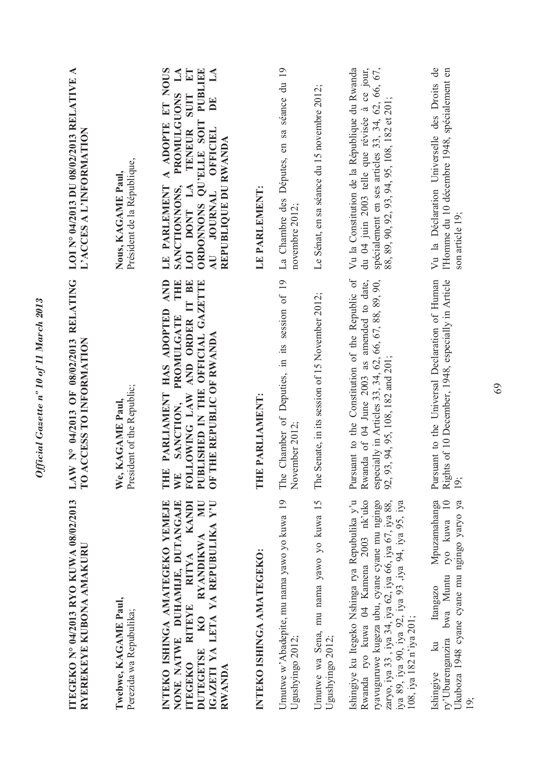| ITEGEKO Nº 04/2013 RYO KUWA 08/02/2013<br>RYEREKEYE KUBONA AMAKURU                                                                                                                                                                                                                     | LAW N° 04/2013 OF 08/02/2013 RELATING<br>ACCESS TO INFORMATION<br>$\Gamma$ <sup>O</sup>                                                                                                         | ◀<br>LOI N° 04/2013 DU 08/02/2013 RELATIVE<br>L'ACCES A L'INFORMATION                                                                                                                                                                          |
|----------------------------------------------------------------------------------------------------------------------------------------------------------------------------------------------------------------------------------------------------------------------------------------|-------------------------------------------------------------------------------------------------------------------------------------------------------------------------------------------------|------------------------------------------------------------------------------------------------------------------------------------------------------------------------------------------------------------------------------------------------|
| Twebwe, KAGAME Paul,<br>Perezida wa Repubulika;                                                                                                                                                                                                                                        | President of the Republic;<br>We, KAGAME Paul,                                                                                                                                                  | Président de la République,<br>Nous, KAGAME Paul,                                                                                                                                                                                              |
| INTEKO ISHINGA AMATEGEKO YEMEJE<br><b>NN</b><br>IGAZETI YA LETA YA REPUBULIKA Y'U<br>NONE NATWE DUHAMIJE, DUTANGAJE<br>KANDI<br><b>RYANDIKWA</b><br><b>RITYA</b><br><b>RITEYE</b><br>KO<br>DUTEGETSE<br><b>ITEGEKO</b><br>RWANDA                                                       | AND<br>THE<br>FOLLOWING LAW AND ORDER IT BE<br>PUBLISHED IN THE OFFICIAL GAZETTE<br>THE PARLIAMENT HAS ADOPTED<br>PROMULGATE<br>OF THE REPUBLIC OF RWANDA<br>SANCTION,<br>WE                    | A ADOPTE ET NOUS<br>ET<br>$\mathbf{L}$<br>PUBLIEE<br>$\mathbb{A}$<br>PROMULGUONS<br>SUIT<br>$\mathbf{E}$<br>ORDONNONS QU'ELLE SOIT<br>TENEUR<br>OFFICIEL<br>REPUBLIQUE DU RWANDA<br>LOI DONT LA<br>LE PARLEMENT<br>SANCTIONNONS,<br>AU JOURNAL |
| INTEKO ISHINGA AMATEGEKO:                                                                                                                                                                                                                                                              | E PARLIAMENT:<br>E                                                                                                                                                                              | LE PARLEMENT:                                                                                                                                                                                                                                  |
| Umutwe w'Abadepite, mu nama yawo yo kuwa 19<br>Ugushyingo 2012;                                                                                                                                                                                                                        | Chamber of Deputies, in its session of 19<br>ember 2012;<br>The<br>$\breve{\mathsf{X}}$                                                                                                         | La Chambre des Députes, en sa séance du 19<br>novembre 2012;                                                                                                                                                                                   |
| Umutwe wa Sena, mu nama yawo yo kuwa 15<br>Ugushyingo 2012;                                                                                                                                                                                                                            | Senate, in its session of 15 November 2012;<br>The                                                                                                                                              | Le Sénat, en sa séance du 15 novembre 2012;                                                                                                                                                                                                    |
| Ishingiye ku Itegeko Nshinga rya Repubulika y'u<br>Rwanda ryo kuwa 04 Kamena 2003 nk'uko<br>ryavuguruwe kugeza ubu, cyane cyane mu ngingo<br>zaryo, iya 33 , iya 34, iya 62, iya 66, iya 67, iya 88,<br>iya 89, iya 90, iya 92, iya 93 ,iya 94, iya 95, iya<br>108, iya 182 n'iya 201; | Pursuant to the Constitution of the Republic of<br>Rwanda of 04 June 2003 as amended to date,<br>especially in Articles 33, 34, 62, 66, 67, 88, 89, 90,<br>93, 94, 95, 108, 182 and 201;<br>92, | Vu la Constitution de la République du Rwanda<br>spécialement en ses articles 33, 34, 62, 66, 67,<br>du 04 juin 2003 telle que révisée à ce jour,<br>88, 89, 90, 92, 93, 94, 95, 108, 182 et 201;                                              |
| Mpuzamahanga<br>ry'Uburenganzira bwa Muntu ryo kuwa 10<br>Ukuboza 1948 cyane cyane mu ngingo yaryo ya<br>Itangazo<br>$\mathbb{R}$<br>Ishingiye<br>$\frac{1}{9}$                                                                                                                        | Pursuant to the Universal Declaration of Human<br>Rights of 10 December, 1948, especially in Article<br>19;                                                                                     | Vu la Déclaration Universelle des Droits de<br>l'Homme du 10 décembre 1948, spécialement en<br>son article 19;                                                                                                                                 |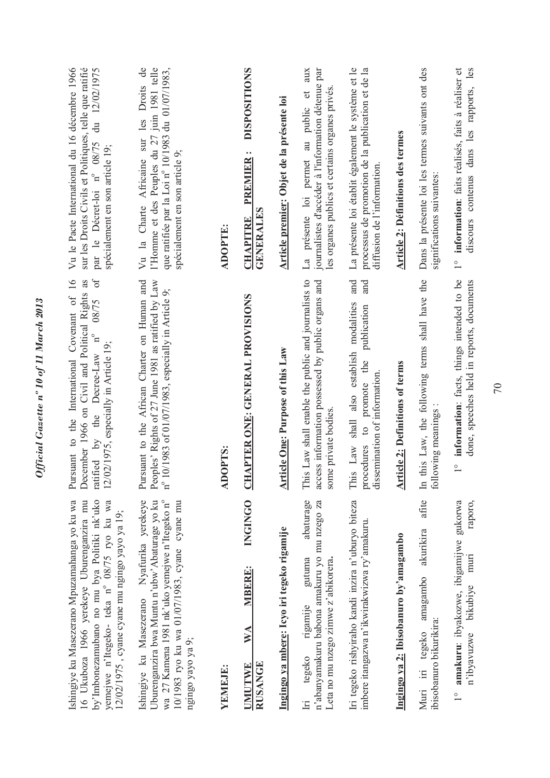| by'Imbonezamubano no mu bya Politiki nk'uko<br>16 Ukuboza 1966 yerekeye Uburenganzira mu<br>yemejwe n'Itegeko- teka nº 08/75 ryo ku wa<br>Ishingiye ku Masezerano Mpuzamahanga yo ku wa<br>12/02/1975, cyane cyane mu ngingo yayo ya 19; | $\delta$<br>Pursuant to the International Covenant of 16<br>December 1966 on Civil and Political Rights as<br>08/75<br>ratified by the Decree-Law $n^{\circ}$<br>12/02/1975, especially in Article 19; | Vu le Pacte International du 16 décembre 1966<br>sur les Droits Civils et Politiques, telle que ratifié<br>par le Décret-loi n° 08/75 du 12/02/1975<br>spécialement en son article 19; |
|------------------------------------------------------------------------------------------------------------------------------------------------------------------------------------------------------------------------------------------|--------------------------------------------------------------------------------------------------------------------------------------------------------------------------------------------------------|----------------------------------------------------------------------------------------------------------------------------------------------------------------------------------------|
| Uburenganzira bwa Muntu n'ubw'Abaturage yo ku<br>Ishingiye ku Masezerano Nyafurika yerekeye<br>wa 27 Kamena 1981 nk'uko yemejwe n'Itegeko n°<br>10/1983 ryo ku wa 01/07/1983, cyane cyane mu<br>ngingo yayo ya 9;                        | Peoples' Rights of 27 June 1981 as ratified by Law<br>Pursuant to the African Charter on Human and<br>10/1983 of 01/07/1983, especially in Article 9;<br>$n^{\circ}$                                   | que ratifiée par la Loi nº 10/1983 du 01/07/1983,<br>Vu la Charte Africaine sur les Droits de<br>l'Homme et des Peuples du 27 juin 1981 telle<br>spécialement en son article 9;        |
| YEMEJE:                                                                                                                                                                                                                                  | <b>OPTS:</b><br>Ę                                                                                                                                                                                      | <b>ADOPTE:</b>                                                                                                                                                                         |
| <b>INGINGO</b><br><b>MBERE:</b><br>WA<br><b>RUSANGE</b><br><b>UMUTWE</b>                                                                                                                                                                 | <b>APTER ONE: GENERAL PROVISIONS</b><br>티                                                                                                                                                              | <b>DISPOSITIONS</b><br><b>PREMIER:</b><br>GENERALES<br><b>CHAPITRE</b>                                                                                                                 |
| Ingingo ya mbere: Icyo iri tegeko rigamije                                                                                                                                                                                               | <b>Article One: Purpose of this Law</b>                                                                                                                                                                | Article premier: Objet de la présente loi                                                                                                                                              |
| abaturage<br>n'abanyamakuru babona amakuru yo mu nzego za<br>gutuma<br>Leta no mu nzego zimwe z'abikorera.<br>rigamije<br>tegeko<br>$\mathbf{H}$                                                                                         | is Law shall enable the public and journalists to<br>access information possessed by public organs and<br>some private bodies.<br>Ë                                                                    | journalistes d'accéder à l'information détenue par<br>aux<br>les organes publics et certains organes privés.<br>$\sigma$<br>La présente loi permet au public                           |
| Iri tegeko rishyiraho kandi inzira n'uburyo biteza<br>imbere itangazwa n'ikwirakwizwa ry'amakuru.                                                                                                                                        | and<br>and<br>This Law shall also establish modalities<br>publication<br>procedures to promote the<br>dissemination of information                                                                     | La présente loi établit également le système et le<br>processus de promotion de la publication et de la<br>diffusion de l'information.                                                 |
| Ingingo ya 2: Ibisobanuro by'amagambo                                                                                                                                                                                                    | <b>Article 2: Definitions of terms</b>                                                                                                                                                                 | <b>Article 2: Définitions des termes</b>                                                                                                                                               |
| afite<br>akurikira<br>amagambo<br>ibisobanuro bikurikira:<br>tegeko<br>Muri in                                                                                                                                                           | this Law, the following terms shall have the<br>lowing meanings:<br>foll<br>$\mathbb{H}$                                                                                                               | Dans la présente loi les termes suivants ont des<br>significations suivantes:                                                                                                          |
| amakuru: ibyakozwe, ibigamijwe gukorwa<br>raporo,<br>muri<br>bikubiye<br>n'ibyavuzwe<br>$\frac{1}{1}$                                                                                                                                    | information: facts, things intended to be<br>done, speeches held in reports, documents<br>$\frac{1}{1}$                                                                                                | discours contenus dans les rapports, les<br>1° information: faits réalisés, faits à réaliser et                                                                                        |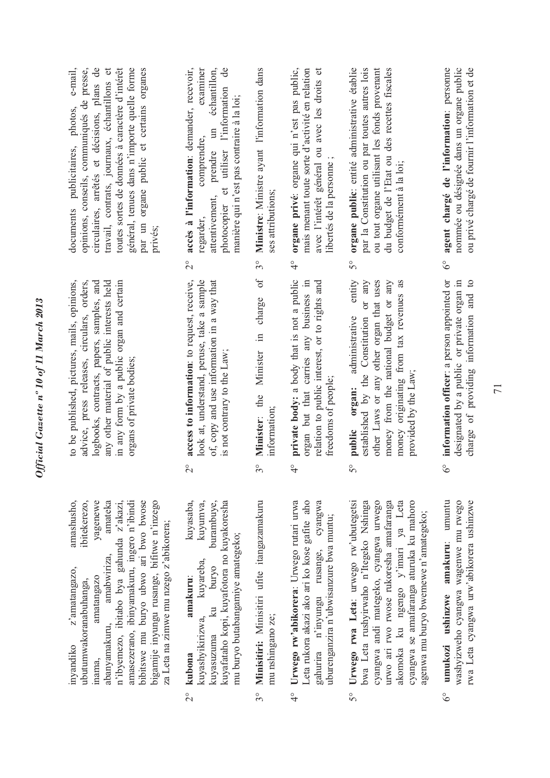| e-mail,<br>circulaires, arrêtés et décisions, plans de<br>opinions, conseils, communiqués de presse,<br>toutes sortes de données à caractère d'intérêt<br>général, tenues dans n'importe quelle forme<br>par un organe public et certains organes<br>travail, contrats, journaux, échantillons et<br>documents publicitaires, photos,<br>privés;                                            | accès à l'information: demander, recevoir,<br>examiner<br>de<br>échantillon,<br>et utiliser l'information<br>manière qui n'est pas contraire à la loi;<br>$\mathfrak{m}$<br>comprendre,<br>prendre<br>attentivement,<br>photocopier<br>regarder,<br>$\overset{\circ}{\sim}$ | Ministre: Ministre ayant l'information dans<br>ses attributions;<br>30<br>$\sigma$ | organe privé: organe qui n'est pas public,<br>mais menant toute sorte d'activité en relation<br>avec l'intérêt général ou avec les droits et<br>libertés de la personne<br>$\frac{1}{4}$     | organe public: entité administrative établie<br>par la Constitution ou par toutes autres lois<br>ou tout organe utilisant les fonds provenant<br>du budget de l'Etat ou des recettes fiscales<br>conformément à la loi;<br>$\mathcal{S}^{\circ}$<br>entity                                                 | agent chargé de l'information: personne<br>nommée ou désignée dans un organe public<br>ou privé chargé de fournir l'information et de<br>$\delta^{\circ}$ |
|---------------------------------------------------------------------------------------------------------------------------------------------------------------------------------------------------------------------------------------------------------------------------------------------------------------------------------------------------------------------------------------------|-----------------------------------------------------------------------------------------------------------------------------------------------------------------------------------------------------------------------------------------------------------------------------|------------------------------------------------------------------------------------|----------------------------------------------------------------------------------------------------------------------------------------------------------------------------------------------|------------------------------------------------------------------------------------------------------------------------------------------------------------------------------------------------------------------------------------------------------------------------------------------------------------|-----------------------------------------------------------------------------------------------------------------------------------------------------------|
| to be published, pictures, mails, opinions,<br>advice, press releases, circulars, orders,<br>any other material of public interests held<br>in any form by a public organ and certain<br>logbooks, contracts, papers, samples, and<br>organs of private bodies;                                                                                                                             | access to information: to request, receive,<br>look at, understand, peruse, take a sample<br>of, copy and use information in a way that<br>is not contrary to the Law;<br>$\overline{C}$                                                                                    | charge<br>$\equiv$<br>Minister<br>Minister: the<br>information;<br>$3^{\circ}$     | private body: a body that is not a public<br>organ but that carries any business in<br>relation to public interest, or to rights and<br>freedoms of people;<br>$\frac{6}{4}$                 | or any<br>money from the national budget or any<br>other Laws or any other organ that uses<br>money originating from tax revenues as<br>established by the Constitution<br>administrative<br>provided by the Law;<br>organ:<br>public<br>$5^{\circ}$                                                       | information officer: a person appointed or<br>designated by a public or private organ in<br>charge of providing information and to<br>$6^{\circ}$         |
| amashusho,<br>ibitekerezo,<br>yagenewe<br>amateka<br>n'ibyemezo, ibitabo bya gahunda z'akazi,<br>amasezerano, ibinyamakuru, ingero n'ibindi<br>bibitswe mu buryo ubwo ari bwo bwose<br>bigamije inyungu rusange, bifitwe n'inzego<br>za Leta na zimwe mu nzego z'abikorera;<br>amabwiriza,<br>z'amatangazo,<br>amatangazo<br>ubutumwakoranabuhanga,<br>abanyamakuru,<br>inyandiko<br>inama, | kuyasaba,<br>kuyafataho kopi, kuyafotora no kuyakoresha<br>kuyumva,<br>burambuye,<br>mu buryo butabangamiye amategeko;<br>kuyareba,<br>ku buryo<br>amakuru:<br>kuyashyikirizwa,<br>kuyasuzuma<br>kubona<br>$\overline{C}$                                                   | Minisitiri: Minisitiri ufite itangazamakuru<br>mu nshingano ze;<br>$3^{\circ}$     | Urwego rw'abikorera: Urwego rutari urwa<br>aho<br>gahurira n'inyungu rusange, cyangwa<br>uburenganzira n'ubwisanzure bwa muntu;<br>Leta rukora akazi ako ari ko kose gafite<br>$\frac{6}{4}$ | Urwego rwa Leta: urwego rw'ubutegetsi<br>bwa Leta rushyirwaho n'Itegeko Nshinga<br>urwo ari rwo rwose rukoresha amafaranga<br>cyangwa andi mategeko, cyangwa urwego<br>akomoka ku ngengo y'imari ya Leta<br>cyangwa se amafaranga aturuka ku mahoro<br>agenwa mu buryo bwemewe n'amategeko;<br>$5^{\circ}$ | umukozi ushinzwe amakuru: umuntu<br>washyizweho cyangwa wagenwe mu rwego<br>rwa Leta cyangwa urw'abikorera ushinzwe<br>$\delta^{\circ}$                   |

 $3^{\circ}$ 

 $\frac{6}{4}$ 

 $2^{\circ}$ 

 $5^{\circ}$ 

 $6^\circ$ 

*Official Gazette nº 10 of 11 March 2013*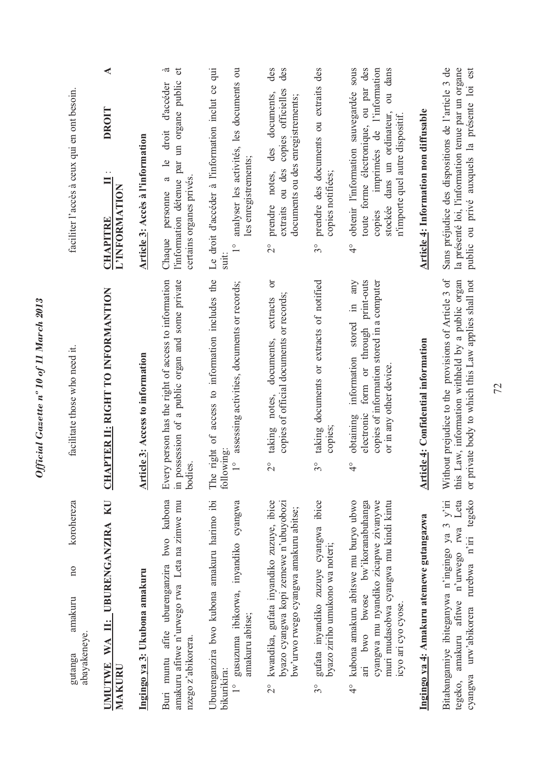| korohereza<br>$\overline{n}$<br>amakuru<br>abayakeneye<br>gutanga                                                                                                                                | facilitate those who need it.                                                                                                                                                           | faciliter l'accès à ceux qui en ont besoin.                                                                                                                                                                                          |
|--------------------------------------------------------------------------------------------------------------------------------------------------------------------------------------------------|-----------------------------------------------------------------------------------------------------------------------------------------------------------------------------------------|--------------------------------------------------------------------------------------------------------------------------------------------------------------------------------------------------------------------------------------|
| UMUTWE WA II: UBURENGANZIRA KU<br>MAKURU                                                                                                                                                         | <b>CHAPTER II: RIGHT TO INFORMANTION</b>                                                                                                                                                | ◀<br><b>DROIT</b><br>$\equiv$<br>L'INFORMATION<br><b>CHAPITRE</b>                                                                                                                                                                    |
| Ingingo ya 3: Ukubona amakuru                                                                                                                                                                    | <b>Article 3: Access to information</b>                                                                                                                                                 | Article 3: Accès à l'information                                                                                                                                                                                                     |
| Buri muntu afite uburenganzira bwo kubona<br>amakuru afitwe n'urwego rwa Leta na zimwe mu<br>nzego z'abikorera.                                                                                  | possession of a public organ and some private<br>Every person has the right of access to information<br>bodies.<br>$\overline{m}$                                                       | .ದ<br>$\sigma$<br>l'information détenue par un organe public<br>d'accéder<br>droit<br>a le<br>certains organes privés.<br>personne<br>Chaque                                                                                         |
| Uburenganzira bwo kubona amakuru harimo ibi<br>gusuzuma ibikorwa, inyandiko cyangwa<br>amakuru abitse;<br>bikurikira:<br>$\frac{1}{\sqrt{2}}$                                                    | access to information includes the<br>assessing activities, documents or records;<br>The right of<br>following:<br>$\frac{1}{2}$                                                        | analyser les activités, les documents ou<br>Le droit d'accéder à l'information inclut ce qui<br>les enregistrements;<br>$\frac{1}{2}$<br>suit:                                                                                       |
| kwandika, gufata inyandiko zuzuye, ibice<br>byazo cyangwa kopi zemewe n'ubuyobozi<br>bw'urwo rwego cyangwa amakuru abitse;<br>$\frac{1}{2}$                                                      | ð<br>copies of official documents or records;<br>extracts<br>documents.<br>notes,<br>taking<br>$\frac{1}{2}$                                                                            | des<br>des<br>copies officielles<br>documents,<br>documents ou des enregistrements;<br>des<br>ou des<br>notes,<br>prendre<br>extraits<br>$\overline{C}$                                                                              |
| gufata inyandiko zuzuye cyangwa ibice<br>byazo ziriho umukono wa noteri;<br>$3^{\circ}$                                                                                                          | taking documents or extracts of notified<br>copies;<br>$3^{\circ}$                                                                                                                      | prendre des documents ou extraits des<br>copies notifiées;<br>$3^{\circ}$                                                                                                                                                            |
| kubona amakuru abitswe mu buryo ubwo<br>ari bwo bwose bw'ikoranabuhanga<br>muri mudasobwa cyangwa mu kindi kintu<br>cyangwa mu nyandiko zicapwe zivanywe<br>icyo ari cyo cyose.<br>$\frac{1}{4}$ | any<br>form or through print-outs<br>copies of information stored in a computer<br>$\equiv$<br>information stored<br>or in any other device<br>electronic<br>obtaining<br>$\frac{1}{4}$ | obtenir l'information sauvegardée sous<br>toute forme électronique, ou par des<br>imprimées de l'information<br>dans<br>$\overline{5}$<br>stockée dans un ordinateur,<br>n'importe quel autre dispositif.<br>copies<br>$\frac{1}{4}$ |
| Ingingo ya 4: Amakuru atemewe gutangazwa                                                                                                                                                         | <b>Article 4: Confidential information</b>                                                                                                                                              | <b>Article 4: Information non diffusable</b>                                                                                                                                                                                         |
| Bitabangamiye ibiteganywa n'ingingo ya 3 y'iri<br>amakuru afitwe n'urwego rwa Leta<br>urw'abikorera rurebwa n'iri tegeko<br>cyangwa<br>tegeko,                                                   | Without prejudice to the provisions of Article 3 of<br>this Law, information withheld by a public organ<br>or private body to which this Law applies shall not                          | Sans préjudice des dispositions de l'article 3 de<br>la présenté loi, l'information tenue par un organe<br>public ou privé auxquels la présente loi est                                                                              |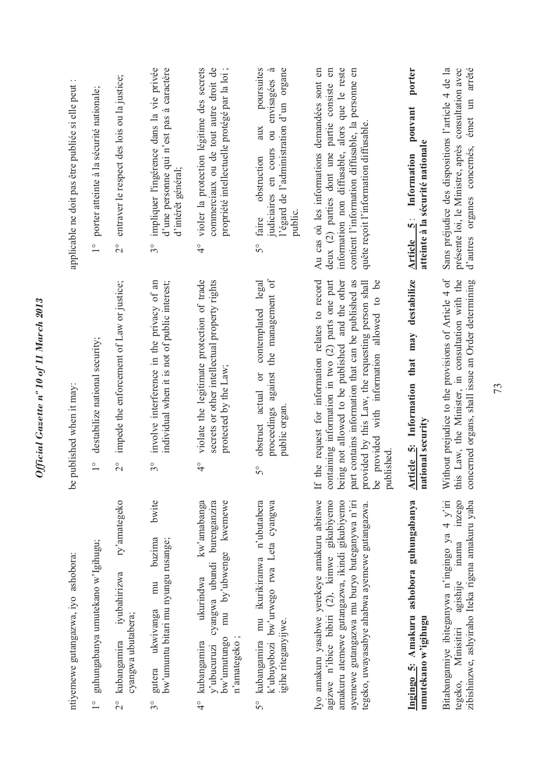| ntiyemewe gutangazwa, iyo ashobora:                                                                                                                                                                                                           | published when it may:<br>9q                                                                                                                                                                                                                                                                                                                  | applicable ne doit pas être publiée si elle peut :                                                                                                                                                                                            |
|-----------------------------------------------------------------------------------------------------------------------------------------------------------------------------------------------------------------------------------------------|-----------------------------------------------------------------------------------------------------------------------------------------------------------------------------------------------------------------------------------------------------------------------------------------------------------------------------------------------|-----------------------------------------------------------------------------------------------------------------------------------------------------------------------------------------------------------------------------------------------|
| guhungabanya umutekano w'Igihugu;<br>$\frac{1}{\sqrt{2}}$                                                                                                                                                                                     | destabilize national security;<br>$\overline{1}^{\circ}$                                                                                                                                                                                                                                                                                      | porter atteinte à la sécurité nationale;<br>$\overset{\circ}{\phantom{0}}$                                                                                                                                                                    |
| ry'amategeko<br>iyubahirizwa<br>cyangwa ubutabera;<br>kubangamira<br>$\overline{C}$                                                                                                                                                           | impede the enforcement of Law or justice;<br>$\overline{C}$                                                                                                                                                                                                                                                                                   | entraver le respect des lois ou la justice;<br>$\overset{\circ}{\sim}$                                                                                                                                                                        |
| bwite<br>buzima<br>bw'umuntu bitari mu nyungu rusange;<br>mu<br>gutera ukwivanga<br>$3^{\circ}$                                                                                                                                               | involve interference in the privacy of an<br>individual when it is not of public interest;<br>$3^{\circ}$                                                                                                                                                                                                                                     | impliquer l'ingérence dans la vie privée<br>d'une personne qui n'est pas à caractère<br>d'intérêt général;<br>$3^{\circ}$                                                                                                                     |
| kw'amabanga<br>kwemewe<br>cyangwa ubundi burenganzira<br>by'ubwenge<br>ukurindwa<br>$m\mathbf{u}$<br>n'amategeko;<br>bw'umutungo<br>kubangamira<br>y'ubucuruzi<br>$\frac{6}{4}$                                                               | violate the legitimate protection of trade<br>secrets or other intellectual property rights<br>protected by the Law;<br>$\frac{1}{4}$                                                                                                                                                                                                         | commerciaux ou de tout autre droit de<br>violer la protection légitime des secrets<br>propriété intellectuelle protégé par la loi ;<br>$\frac{1}{4}$                                                                                          |
| k'ubuyobozi bw'urwego rwa Leta cyangwa<br>mu ikurikiranwa n'ubutabera<br>igihe riteganyijwe.<br>kubangamira<br>$5^{\circ}$                                                                                                                    | $\sigma$<br>contemplated legal<br>the management<br>proceedings against<br>$\sigma$<br>actual<br>public organ<br>obstruct<br>$\overline{5}^{\circ}$                                                                                                                                                                                           | poursuites<br>l'égard de l'administration d'un organe<br>$\tilde{\sigma}$<br>envisagées<br>aux<br>$\overline{\mathrm{d}}$<br>judiciaires en cours<br>obstruction<br>public.<br>faire<br>$\mathcal{S}^{\circ}$                                 |
| Iyo amakuru yasabwe yerekeye amakuru abitswe<br>agizwe n'ibice bibiri (2), kimwe gikubiyemo<br>amakuru atemewe gutangazwa, ikindi gikubiyemo<br>ayemewe gutangazwa mu buryo buteganywa n'iri<br>tegeko, uwayasabye ahabwa ayemewe gutangazwa. | the request for information relates to record<br>containing information in two (2) parts one part<br>being not allowed to be published and the other<br>provided with information allowed to be<br>part contains information that can be published as<br>provided by this Law, the requesting person shall<br>published<br>ತಿ<br>$\mathbb{H}$ | information non diffusable, alors que le reste<br>Au cas où les informations demandées sont en<br>deux (2) parties dont une partie consiste en<br>contient l'information diffusable, la personne en<br>quête reçoit l'information diffusable. |
| Ingingo 5: Amakuru ashobora guhungabanya<br>umutekano w'igihugu                                                                                                                                                                               | destabilize<br>Article 5: Information that may<br>national security                                                                                                                                                                                                                                                                           | porter<br>pouvant<br>atteinte à la sécurité nationale<br>Information<br>$\ddot{\bm{s}}$<br><b>Article</b>                                                                                                                                     |
| Bitabangamiye ibiteganywa n'ingingo ya 4 y'iri<br>inzego<br>zibishinzwe, ashyiraho Iteka rigena amakuru yaba<br>agishije inama<br>Minisitiri<br>tegeko,                                                                                       | Without prejudice to the provisions of Article 4 of<br>this Law, the Minister, in consultation with the<br>concerned organs, shall issue an Order determining                                                                                                                                                                                 | émet un arrêté<br>Sans préjudice des dispositions l'article 4 de la<br>présente loi, le Ministre, après consultation avec<br>d'autres organes concernés,                                                                                      |

Official Gazette nº 10 of 11 March 2013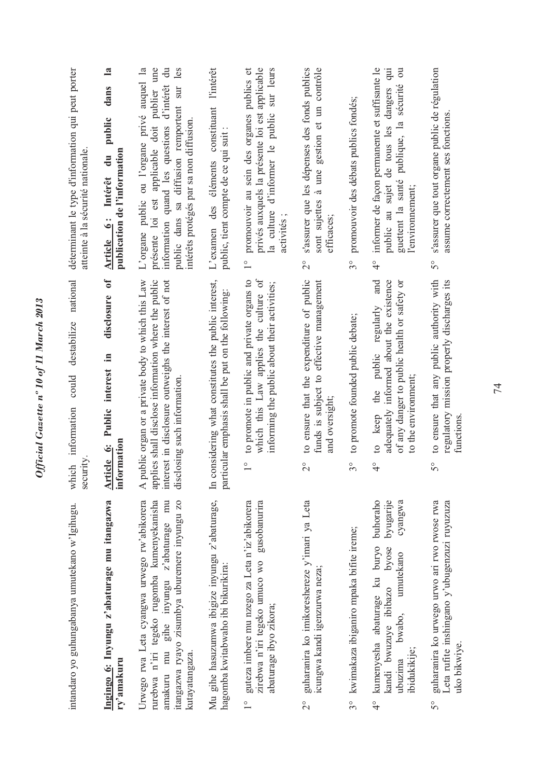| intandaro yo guhungabanya umutekano w'Igihugu.                                                                                                                                                             | national<br>destabilize<br>could<br>information<br>security<br>which                                                                                                                              | déterminant le type d'information qui peut porter<br>atteinte à la sécurité nationale.                                                                                                                                                                       |
|------------------------------------------------------------------------------------------------------------------------------------------------------------------------------------------------------------|---------------------------------------------------------------------------------------------------------------------------------------------------------------------------------------------------|--------------------------------------------------------------------------------------------------------------------------------------------------------------------------------------------------------------------------------------------------------------|
| Ingingo 6: Inyungu z'abaturage mu itangazwa<br>ry'amakuru                                                                                                                                                  | $\mathfrak{b}$<br>disclosure<br>Public interest in<br>information<br>Article 6:                                                                                                                   | $\mathbf{a}$<br>dans<br>public<br>publication de l'information<br>$\ddot{a}$<br>Intérêt<br>Article 6:                                                                                                                                                        |
| Urwego rwa Leta cyangwa urwego rw'abikorera<br>rurebwa n'iri tegeko rugomba kumenyekanisha<br>gihe inyungu z'abaturage mu<br>itangazwa ryayo zisumbya uburemere inyungu zo<br>amakuru mu<br>kutayatangaza. | A public organ or a private body to which this Law<br>applies shall disclose information where the public<br>interest in disclosure outweighs the interest of not<br>disclosing such information. | présente loi est applicable doit publier une<br>les<br>L'organe public ou l'organe privé auquel la<br>$\ddot{\vec{a}}$<br>information quand les questions d'intérêt<br>sur<br>public dans sa diffusion remportent<br>intérêts protégés par sa non diffusion. |
| Mu gihe hasuzumwa ibigize inyungu z'abaturage,<br>hagomba kwitabwaho ibi bikurikira:                                                                                                                       | In considering what constitutes the public interest,<br>particular emphasis shall be put on the following:                                                                                        | l'intérêt<br>constituant<br>public, tient compte de ce qui suit<br>éléments<br>L'examen des                                                                                                                                                                  |
| guteza imbere mu nzego za Leta n'iz'abikorera<br>gusobanurira<br>zirebwa n'iri tegeko umuco wo<br>abaturage ibyo zikora;<br>$\frac{1}{1}$                                                                  | which this Law applies the culture of<br>to promote in public and private organs to<br>informing the public about their activities;<br>$\frac{1}{1}$                                              | privés auxquels la présente loi est applicable<br>d'informer le public sur leurs<br>promouvoir au sein des organes publics et<br>la culture<br>activités;<br>$\frac{1}{1}$                                                                                   |
| guharanira ko imikoreshereze y'imari ya Leta<br>icungwa kandi igenzurwa neza;<br>$\overline{\mathcal{C}}$                                                                                                  | to ensure that the expenditure of public<br>funds is subject to effective management<br>and oversight;<br>$\overline{C}$                                                                          | sont sujettes à une gestion et un contrôle<br>s'assurer que les dépenses des fonds publics<br>efficaces;<br>$\overset{\circ}{\sim}$                                                                                                                          |
| kwimakaza ibiganiro mpaka bifite ireme;<br>$3^{\circ}$                                                                                                                                                     | to promote founded public debate;<br>$3^{\circ}$                                                                                                                                                  | promouvoir des débats publics fondés;<br>$3^{\circ}$                                                                                                                                                                                                         |
| buhoraho<br>byugarije<br>cyangwa<br>kumenyesha abaturage ku buryo<br>byose<br>umutekano<br>kandi bwuzuye ibibazo<br>bwabo,<br>ibidukikije;<br>ubuzima<br>$\frac{6}{4}$                                     | and<br>adequately informed about the existence<br>of any danger to public health or safety or<br>regularly<br>to keep the public<br>to the environment;<br>$\frac{1}{4}$                          | informer de façon permanente et suffisante le<br>qui<br>$\overline{\mathrm{d}}$<br>sécurité<br>dangers<br>guettent la santé publique, la<br>de tous les<br>public au sujet<br>l'environnement;<br>$\frac{1}{4}$                                              |
| guharanira ko urwego urwo ari rwo rwose rwa<br>Leta rufite inshingano y'ubugenzuzi ruyuzuza<br>uko bikwiye.<br>$5^{\circ}$                                                                                 | to ensure that any public authority with<br>regulatory mission properly discharges its<br>functions<br>$\mathcal{S}^{\circ}$                                                                      | s'assurer que tout organe public de régulation<br>assume correctement ses fonctions.<br>$\mathcal{S}^{\circ}$                                                                                                                                                |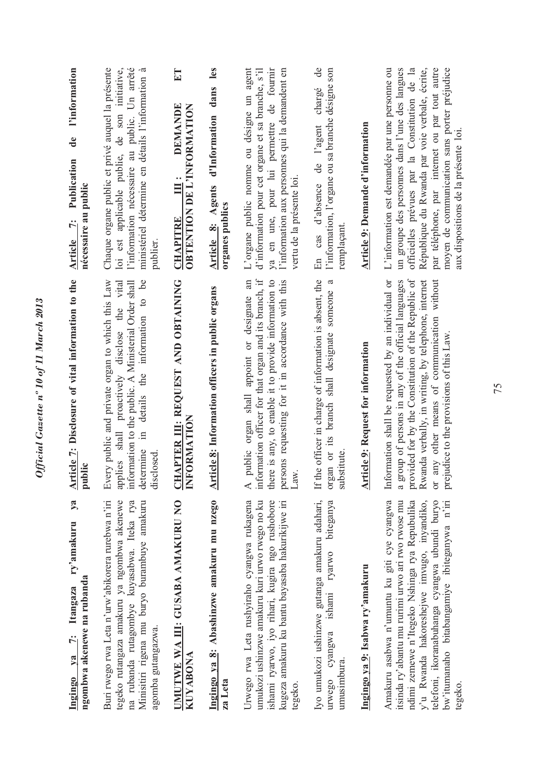| l'information<br>$\mathbf{d}\mathbf{e}$<br>Publication<br>nécessaire au public<br>$\ddot{r}$<br><b>Article</b> | l'information nécessaire au public. Un arrêté<br>loi est applicable publie, de son initiative,<br>Chaque organe public et privé auquel la présente<br>ministériel détermine en détails l'information à<br>publier.                             | ET<br><b>DEMANDE</b><br><b>OBTENTION DE L'INFORMATION</b><br>$\ddot{=}$<br><b>CHAPITRE</b> | les<br>d'Information dans<br>Article 8: Agents<br>organes publics | L'organe public nomme ou désigne un agent<br>ya en une, pour lui permettre de fournir<br>d'information pour cet organe et sa branche, s'il<br>l'information aux personnes qui la demandent en<br>vertu de la présente loi.                         | de<br>l'information, l'organe ou sa branche désigne son<br>chargé<br>l'agent<br>ප්<br>d'absence<br>remplaçant<br>cas<br>En<br>$\mathfrak{a}$ | Article 9: Demande d'information          | officielles prévues par la Constitution de la<br>République du Rwanda par voie verbale, écrite,<br>par téléphone, par internet ou par tout autre<br>moyen de communication sans porter préjudice<br>L'information est demandée par une personne ou<br>un groupe des personnes dans l'une des langues<br>aux dispositions de la présente loi |
|----------------------------------------------------------------------------------------------------------------|------------------------------------------------------------------------------------------------------------------------------------------------------------------------------------------------------------------------------------------------|--------------------------------------------------------------------------------------------|-------------------------------------------------------------------|----------------------------------------------------------------------------------------------------------------------------------------------------------------------------------------------------------------------------------------------------|----------------------------------------------------------------------------------------------------------------------------------------------|-------------------------------------------|---------------------------------------------------------------------------------------------------------------------------------------------------------------------------------------------------------------------------------------------------------------------------------------------------------------------------------------------|
| Article 7: Disclosure of vital information to the<br>public                                                    | be<br>Every public and private organ to which this Law<br>applies shall proactively disclose the vital<br>information to the public. A Ministerial Order shall<br>$\circ$<br>information<br>details the<br>$\Xi$<br>determine<br>closed<br>dis | <u>CHAPTER III</u> : REQUEST AND OBTAINING<br>INFORMATION                                  | Article 8: Information officers in public organs                  | information officer for that organ and its branch, if<br>appoint or designate an<br>there is any, to enable it to provide information to<br>persons requesting for it in accordance with this<br>public organ shall<br>Law<br>$\blacktriangleleft$ | If the officer in charge of information is absent, the<br>organ or its branch shall designate someone<br>substitute                          | <b>Article 9: Request for information</b> | provided for by the Constitution of the Republic of<br>Information shall be requested by an individual or<br>a group of persons in any of the official languages<br>Rwanda verbally, in writing, by telephone, internet<br>any other means of communication without<br>prejudice to the provisions of this Law.<br>$\overline{C}$           |
| ya<br>ry'amakuru<br>ngombwa akenewe na rubanda<br>Itangaza<br>$ya$ 7:<br>Ingingo                               | tegeko rutangaza amakuru ya ngombwa akenewe<br>Buri rwego rwa Leta n'urw'abikorera rurebwa n'iri<br>na rubanda rutagombye kuyasabwa. Iteka rya<br>Minisitiri rigena mu buryo burambuye amakuru<br>agomba gutangazwa.                           | UMUTWE WA III: GUSABA AMAKURU NO<br><b>KUYABONA</b>                                        | Ingingo ya 8: Abashinzwe amakuru mu nzego<br>za Leta              | Urwego rwa Leta rushyiraho cyangwa rukagena<br>umukozi ushinzwe amakuru kuri urwo rwego no ku<br>ishami ryarwo, iyo rihari, kugira ngo rushobore<br>kugeza amakuru ku bantu bayasaba hakurikijwe iri<br>tegeko.                                    | Iyo umukozi ushinzwe gutanga amakuru adahari,<br>biteganya<br>ishami ryarwo<br>cyangwa<br>umusimbura<br>urwego                               | Ingingo ya 9: Isabwa ry'amakuru           | y'u Rwanda hakoreshejwe imvugo, inyandiko,<br>telefoni, ikoranabuhanga cyangwa ubundi buryo<br>Amakuru asabwa n'umuntu ku giti cye cyangwa<br>ndimi zemewe n'Itegeko Nshinga rya Repubulika<br>bw'itumanaho bitabangamiye ibiteganywa n'iri<br>itsinda ry'abantu mu rurimi urwo ari rwo rwose mu<br>tegeko                                  |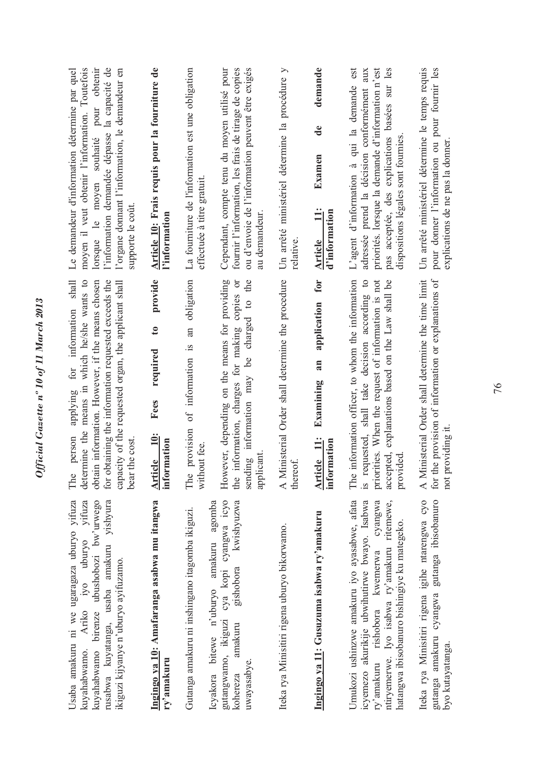| moyen il veut obtenir l'information. Toutefois<br>l'information demandée dépasse la capacité de<br>lorsque le moyen souhaité pour obtenir<br>l'organe domant l'information, le demandeur en<br>Le demandeur d'information détermine par quel<br>supporte le coût.<br>shall        | Article 10: Frais requis pour la fourniture de<br>l'information<br>provide | La fourniture de l'information est une obligation<br>effectuée à titre gratuit.<br>obligation | ou d'envoie de l'information peuvent être exigés<br>fournir l'information, les frais de tirage de copies<br>Cependant, compte tenu du moyen utilisé pour<br>au demandeur.<br>the | Un arrêté ministériel détermine la procédure y<br>relative.            | demande<br>$\mathbf{d}\mathbf{e}$<br>Examen<br>$\ddot{=}$<br>d'information<br><b>Article</b><br>for | pas acceptée, des explications basées sur les<br>est<br>adressée prend la décision conformément aux<br>priorités. lorsque la demande d'information n'est<br>L'agent d'information à qui la demande<br>dispositions légales sont fournies.     | Un arrêté ministériel détermine le temps requis<br>pour donner l'information ou pour fournir les<br>explications de ne pas la donner.                      |
|-----------------------------------------------------------------------------------------------------------------------------------------------------------------------------------------------------------------------------------------------------------------------------------|----------------------------------------------------------------------------|-----------------------------------------------------------------------------------------------|----------------------------------------------------------------------------------------------------------------------------------------------------------------------------------|------------------------------------------------------------------------|-----------------------------------------------------------------------------------------------------|-----------------------------------------------------------------------------------------------------------------------------------------------------------------------------------------------------------------------------------------------|------------------------------------------------------------------------------------------------------------------------------------------------------------|
| determine the means in which he/she wants to<br>for obtaining the information requested exceeds the<br>obtain information. However, if the means chosen<br>capacity of the requested organ, the applicant shall<br>for information<br>applying<br>person<br>bear the cost.<br>The | $\mathbf{c}$<br>required<br>Fees<br>Article 10:<br>information             | an<br>of information is<br>The provision<br>without fee.                                      | However, depending on the means for providing<br>information, charges for making copies or<br>sending information may be charged to<br>applicant<br>the                          | Ministerial Order shall determine the procedure<br>thereof.<br>$\prec$ | application<br>an<br>Examining<br>Article 11:<br>ormation<br>İnf                                    | The information officer, to whom the information<br>requested, shall take decision according to<br>priorities. When the request of information is not<br>accepted, explanations based on the Law shall be<br>provided<br>$\tilde{\mathbf{S}}$ | Ministerial Order shall determine the time limit<br>the provision of information or explanations of<br>not providing it.<br>for<br>$\overline{\mathbf{A}}$ |
| Usaba amakuru ni we ugaragaza uburyo yifuza<br>rusabwa kuyatanga, usaba amakuru yishyura<br>kuyahabwamo birenze ubushobozi bw'urwego<br>iyo uburyo yifuza<br>ikiguzi kijyanye n'uburyo ayifuzamo.<br>Ariko<br>kuyahabwamo.                                                        | Ingingo ya 10: Amafaranga asabwa mu itangwa<br>ry'amakuru                  | Gutanga amakuru ni inshingano itagomba ikiguzi.                                               | gutangwamo, ikiguzi cya kopi cyangwa icyo<br>kwishyuzwa<br>Icyakora bitewe n'uburyo amakuru agomba<br>gishobora<br>amakuru<br>uwayasabye.<br>kohereza                            | Iteka rya Minisitiri rigena uburyo bikorwamo.                          | Ingingo ya 11: Gusuzuma isabwa ry'amakuru                                                           | Umukozi ushinzwe amakuru iyo ayasabwe, afata<br>ntiryemerwe. Iyo isabwa ry'amakuru ritemewe,<br>icyemezo akurikije ubwihutirwe bwayo. Isabwa<br>cyangwa<br>hatangwa ibisobanuro bishingiye ku mategeko.<br>ry'amakuru rishobora kwemerwa      | Iteka rya Minisitiri rigena igihe ntarengwa cyo<br>gutanga amakuru cyangwa gutanga ibisobanuro<br>byo kutayatanga.                                         |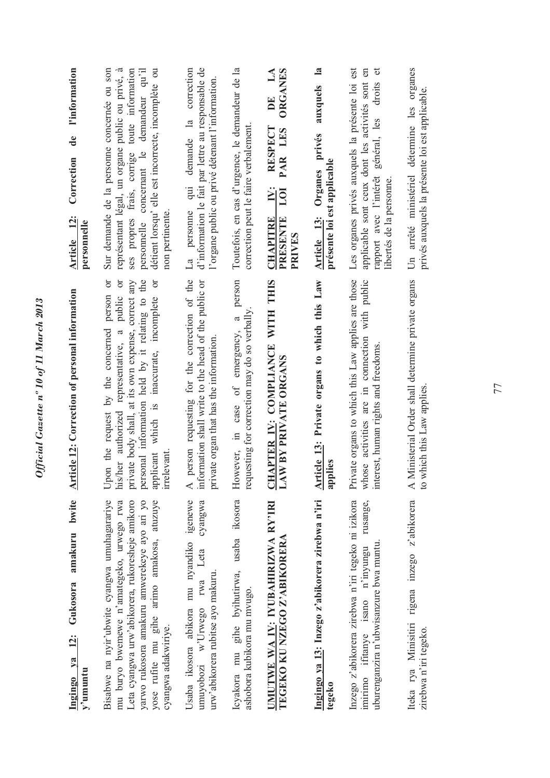| bwite<br>amakuru<br>Ingingo ya 12: Gukosora<br>$y^2$ umuntu                                                                                                                                                                                                      | <b>Article 12: Correction of personal information</b>                                                                                                                                                                                                                                        | l'information<br>de<br>Correction<br>Article 12:<br>personnelle                                                                                                                                                                                                      |
|------------------------------------------------------------------------------------------------------------------------------------------------------------------------------------------------------------------------------------------------------------------|----------------------------------------------------------------------------------------------------------------------------------------------------------------------------------------------------------------------------------------------------------------------------------------------|----------------------------------------------------------------------------------------------------------------------------------------------------------------------------------------------------------------------------------------------------------------------|
| Bisabwe na nyir'ubwite cyangwa umuhagarariye<br>Leta cyangwa urw'abikorera, rukoresheje amikoro<br>yarwo rukosora amakuru amwerekeye ayo ari yo<br>yose rufite mu gihe arimo amakosa, atuzuye<br>mu buryo bwemewe n'amategeko, urwego rwa<br>cyangwa adakwiriye. | ð<br>$\sigma$<br>personal information held by it relating to the<br>$\sigma$<br>private body shall, at its own expense, correct any<br>person<br>his/her authorized representative, a public<br>applicant which is inaccurate, incomplete<br>Upon the request by the concerned<br>irrelevant | Sur demande de la personne concernée ou son<br>détient lorsqu'elle est incorrecte, incomplète ou<br>représentant légal, un organe public ou privé, à<br>ses propres frais, corrige toute information<br>personnelle concernant le demandeur qu'il<br>non pertinente. |
| Usaba ikosora abikora mu nyandiko igenewe<br>cyangwa<br>Leta<br>urw'abikorera rubitse ayo makuru.<br>umuyobozi w'Urwego rwa                                                                                                                                      | person requesting for the correction of the<br>information shall write to the head of the public or<br>private organ that has the information.<br>$\prec$                                                                                                                                    | correction<br>d'information le fait par lettre au responsable de<br>l'organe public ou privé détenant l'information.<br>demande la<br>$q\ddot{u}$<br>personne<br>$\mathbb{E}$                                                                                        |
| Icyakora mu gihe byihutirwa, usaba ikosora<br>ashobora kubikora mu mvugo.                                                                                                                                                                                        | person<br>requesting for correction may do so verbally.<br>$\mathfrak{a}$<br>However, in case of emergency,                                                                                                                                                                                  | Toutefois, en cas d'urgence, le demandeur de la<br>correction peut le faire verbalement.                                                                                                                                                                             |
| UMUTWE WA IV: IYUBAHIRIZWA RY'IRI<br>TEGEKO KU NZEGO Z'ABIKORERA                                                                                                                                                                                                 | APTER IV: COMPLIANCE WITH THIS<br>W BY PRIVATE ORGANS<br>F<br>$\Delta$                                                                                                                                                                                                                       | $\mathbf{L}\mathbf{A}$<br><b>ORGANES</b><br>DE<br><b>RESPECT</b><br>PAR LES<br>$\ddot{N}$ :<br>LOI<br><b>CHAPITRE</b><br><b>PRESENTE</b><br>PRIVES                                                                                                                   |
| Ingingo ya 13: Inzego z'abikorera zirebwa n'iri<br>tegeko                                                                                                                                                                                                        | Article 13: Private organs to which this Law<br>applies                                                                                                                                                                                                                                      | $\mathbf{a}$<br>auxquels<br>Organes privés<br>présente loi est applicable<br>Article 13:                                                                                                                                                                             |
| Inzego z'abikorera zirebwa n'iri tegeko ni izikora<br>rusange,<br>uburenganzira n'ubwisanzure bwa muntu.<br>imirimo ifitanye isano n'inyungu                                                                                                                     | Private organs to which this Law applies are those<br>whose activities are in connection with public<br>interest, human rights and freedoms.                                                                                                                                                 | applicable sont ceux dont les activités sont en<br>$\sigma$<br>Les organes privés auxquels la présente loi est<br>droits<br>rapport avec l'intérêt général, les<br>libertés de la personne.                                                                          |
| Iteka rya Minisitiri rigena inzego z'abikorera<br>zirebwa n'iri tegeko.                                                                                                                                                                                          | A Ministerial Order shall determine private organs<br>which this Law applies<br>$\overline{a}$                                                                                                                                                                                               | Un arrêté ministériel détermine les organes<br>privés auxquels la présente loi est applicable.                                                                                                                                                                       |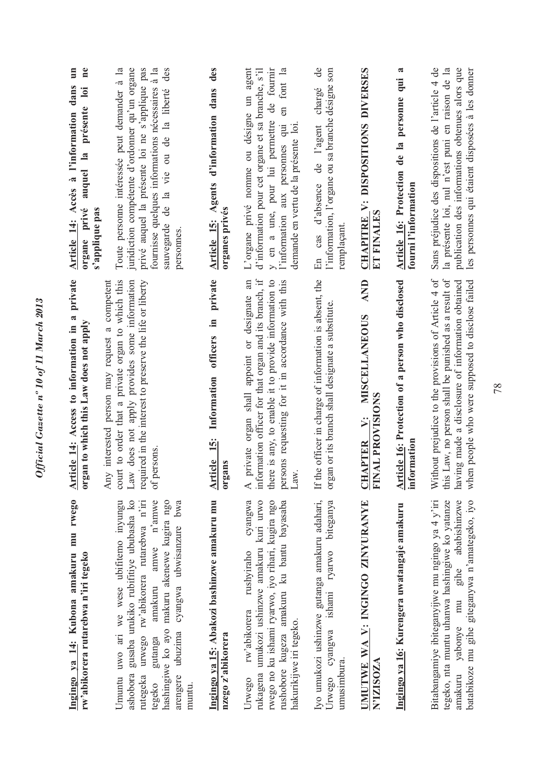| Ingingo ya 14: Kubona amakuru mu rwego<br>rw'abikorera rutarebwa n'iri tegeko                                                                                                                                                                                                                        | private<br>Article 14: Access to information in a<br>organ to which this Law does not apply                                                                                                                                          | $\mathbf{m}$<br>$n$ e<br>Article 14: Accès à l'information dans<br>loi<br>présente<br>$\mathbf{a}$<br>auquel<br>organe privé<br>s'applique pas                                                                                                                  |
|------------------------------------------------------------------------------------------------------------------------------------------------------------------------------------------------------------------------------------------------------------------------------------------------------|--------------------------------------------------------------------------------------------------------------------------------------------------------------------------------------------------------------------------------------|-----------------------------------------------------------------------------------------------------------------------------------------------------------------------------------------------------------------------------------------------------------------|
| gusaba urukiko rubifitiye ububasha ko<br>amakuru amwe n'amwe<br>hashingiwe ko ayo makuru akenewe kugira ngo<br>Umuntu uwo ari we wese ubifitemo inyungu<br>urwego rw'abikorera rutarebwa n'iri<br>ubuzima cyangwa ubwisanzure bwa<br>gutanga<br>ashobora<br>arengere<br>rutegeka<br>tegeko<br>muntu. | required in the interest to preserve the life or liberty<br>Any interested person may request a competent<br>court to order that a private organ to which this<br>Law does not apply provides some information<br>of persons.        | Toute personne intéressée peut demander à la<br>juridiction compétente d'ordonner qu'un organe<br>privé auquel la présente loi ne s'applique pas<br>fournisse quelques informations nécessaires à la<br>sauvegarde de la vie ou de la liberté des<br>personnes. |
| Ingingo ya 15: Abakozi bashinzwe amakuru mu<br>nzego z'abikorera                                                                                                                                                                                                                                     | private<br>.≦<br>officers<br>Information<br>Article 15:<br>organs                                                                                                                                                                    | des<br>dans<br>Article 15: Agents d'information<br>organes privés                                                                                                                                                                                               |
| rukagena umukozi ushinzwe amakuru kuri urwo<br>cyangwa<br>rwego no ku ishami ryarwo, iyo rihari, kugira ngo<br>rushobore kugeza amakuru ku bantu bayasaba<br>rushyiraho<br>rw'abikorera<br>hakurikijwe iri tegeko.<br>Urwego                                                                         | information officer for that organ and its branch, if<br>there is any, to enable it to provide information to<br>private organ shall appoint or designate an<br>persons requesting for it in accordance with this<br>Law.<br>$\prec$ | L'organe privé nomme ou désigne un agent<br>d'information pour cet organe et sa branche, s'il<br>de fournir<br>en font la<br>y en a une, pour lui permettre<br>l'information aux personnes qui<br>demande en vertu de la présente loi.                          |
| Iyo umukozi ushinzwe gutanga amakuru adahari,<br>ishami ryarwo biteganya<br>Urwego cyangwa<br>umusimbura.                                                                                                                                                                                            | If the officer in charge of information is absent, the<br>organ or its branch shall designate a substitute.                                                                                                                          | $\mathbf{e}$<br>l'information, l'organe ou sa branche désigne son<br>chargé<br>de l'agent<br>En cas d'absence<br>remplaçant.                                                                                                                                    |
| UMUTWE WA V: INGINGO ZINYURANYE<br>N'IZISOZA                                                                                                                                                                                                                                                         | <b>AND</b><br>CHAPTER V: MISCELLANEOUS<br>FINAL PROVISIONS                                                                                                                                                                           | CHAPITRE V: DISPOSITIONS DIVERSES<br>ET FINALES                                                                                                                                                                                                                 |
| Ingingo ya 16: Kurengera uwatangaje amakuru                                                                                                                                                                                                                                                          | Article 16: Protection of a person who disclosed<br>information                                                                                                                                                                      | a<br>Article 16: Protection de la personne qui<br>fourni l'information                                                                                                                                                                                          |
| Bitabangamiye ibiteganyijwe mu ngingo ya 4 y'iri<br>tegeko, nta muntu uhanwa hashingiwe ko yatanze<br>ababishinzwe<br>batabikoze mu gihe giteganywa n'amategeko, iyo<br>amakuru yabonye mu gihe                                                                                                      | Without prejudice to the provisions of Article 4 of<br>this Law, no person shall be punished as a result of<br>having made a disclosure of information obtained<br>when people who were supposed to disclose failed                  | Sans préjudice des dispositions de l'article 4 de<br>publication des informations obtenues alors que<br>la présente loi, nul n'est puni en raison de la<br>les personnes qui étaient disposées à les donner                                                     |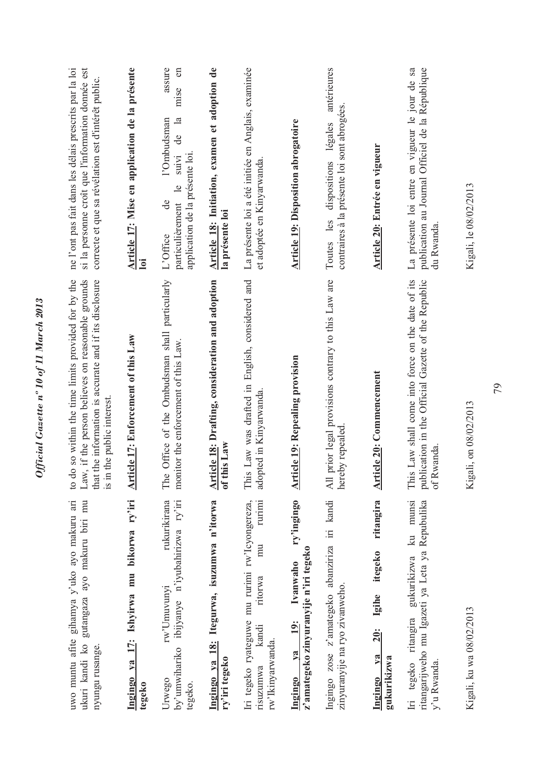| Ingingo ya 17: Ishyirwa mu bikorwa ry'iri<br>rukurikirana<br>by'umwihariko ibijyanye n'iyubahirizwa ry'iri<br>uwo muntu afite gihamya y'uko ayo makuru ari<br>gutangaza ayo makuru biri mu<br>rw'Umuvunyi<br>ukuri kandi ko<br>nyungu rusange.<br>Urwego | The Office of the Ombudsman shall particularly<br>do so within the time limits provided for by the<br>that the information is accurate and if its disclosure<br>Law, if the person believes on reasonable grounds<br>Article 17: Enforcement of this Law<br>monitor the enforcement of this Law.<br>in the public interest.<br>$\overline{18}$ .<br>$\overline{c}$ | Article 17: Mise en application de la présente<br>assure<br>me l'ont pas fait dans les délais prescrits par la loi<br>si la personne croît que l'information donnée est<br>$\epsilon$<br>correcte et que sa révélation est d'intérêt public.<br>mise<br>$\overline{a}$<br>l'Ombudsman<br>g<br>suivi<br>$\frac{1}{2}$<br>particulièrement<br>$\mathbf{d}\mathbf{e}$<br>L'Office<br>$\overline{\mathbf{a}}$ |
|----------------------------------------------------------------------------------------------------------------------------------------------------------------------------------------------------------------------------------------------------------|--------------------------------------------------------------------------------------------------------------------------------------------------------------------------------------------------------------------------------------------------------------------------------------------------------------------------------------------------------------------|-----------------------------------------------------------------------------------------------------------------------------------------------------------------------------------------------------------------------------------------------------------------------------------------------------------------------------------------------------------------------------------------------------------|
| Itegurwa, isuzumwa n'itorwa<br>rurimi<br>Iri tegeko ryateguwe mu rurimi rw'Icyongereza,<br>mu<br>ritorwa<br>kandi<br>Ingingo ya 18:<br>rw'Ikinyarwanda.                                                                                                  | Article 18: Drafting, consideration and adoption<br>This Law was drafted in English, considered and<br>adopted in Kinyarwanda.<br>of this Law                                                                                                                                                                                                                      | Article 18: Initiation, examen et adoption de<br>La présente loi a été initiée en Anglais, examinée<br>application de la présente loi.<br>et adoptée en Kinyarwanda.<br>la présente loi                                                                                                                                                                                                                   |
| ry'ingingo<br>z'amategeko zinyuranyije n'iri tegeko<br>Ivanwaho<br><b>19:</b>                                                                                                                                                                            | <b>Article 19: Repealing provision</b>                                                                                                                                                                                                                                                                                                                             | <b>Article 19: Disposition abrogatoire</b>                                                                                                                                                                                                                                                                                                                                                                |
| Ingingo zose z'amategeko abanziriza iri kandi<br>zinyuranyije na ryo zivanweho.                                                                                                                                                                          | All prior legal provisions contrary to this Law are<br>hereby repealed                                                                                                                                                                                                                                                                                             | antérieures<br>contraires à la présente loi sont abrogées.<br>légales<br>dispositions<br>Toutes les                                                                                                                                                                                                                                                                                                       |
| ritangira<br>itegeko<br>Igihe<br><b>20:</b>                                                                                                                                                                                                              | <b>Article 20: Commencement</b>                                                                                                                                                                                                                                                                                                                                    | Article 20: Entrée en vigueur                                                                                                                                                                                                                                                                                                                                                                             |
| gukurikizwa ku munsi<br>ritangarijweho mu Igazeti ya Leta ya Repubulika<br>Iri tegeko ritangira                                                                                                                                                          | This Law shall come into force on the date of its<br>publication in the Official Gazette of the Republic<br>of Rwanda                                                                                                                                                                                                                                              | La présente loi entre en vigueur le jour de sa<br>publication au Journal Officiel de la République<br>du Rwanda                                                                                                                                                                                                                                                                                           |
| Kigali, ku wa 08/02/2013                                                                                                                                                                                                                                 | Kigali, on 08/02/2013                                                                                                                                                                                                                                                                                                                                              | Kigali, le 08/02/2013                                                                                                                                                                                                                                                                                                                                                                                     |